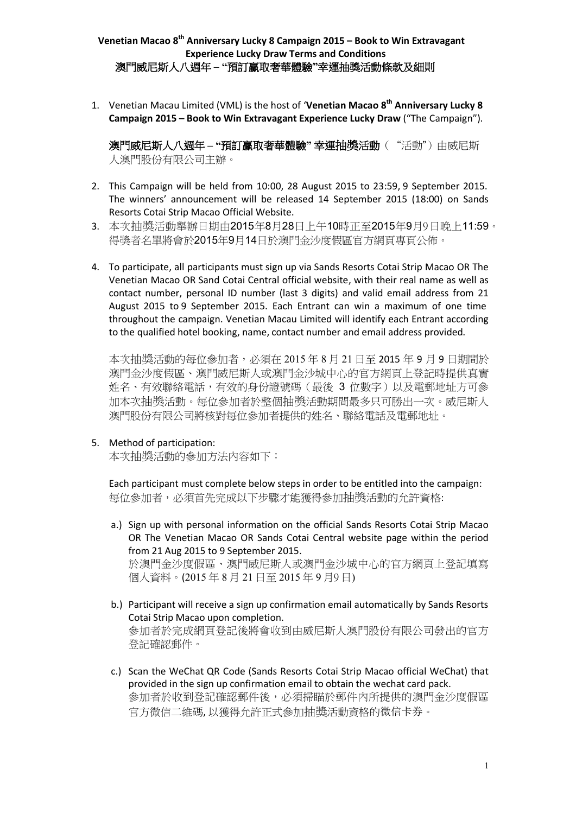1. Venetian Macau Limited (VML) is the host of '**Venetian Macao 8th Anniversary Lucky 8 Campaign 2015 – Book to Win Extravagant Experience Lucky Draw** ("The Campaign").

澳門威尼斯人八週年 **– "**預訂赢取奢華體驗**"** 幸運抽獎活動("活動")由威尼斯 人澳門股份有限公司主辦。

- 2. This Campaign will be held from 10:00, 28 August 2015 to 23:59, 9 September 2015. The winners' announcement will be released 14 September 2015 (18:00) on Sands Resorts Cotai Strip Macao Official Website.
- 3. 本次抽獎活動舉辦日期由2015年8月28日上午10時正至2015年9月9日晚上11:59。 得獎者名單將會於2015年9月14日於澳門金沙度假區官方網頁專頁公佈。
- 4. To participate, all participants must sign up via Sands Resorts Cotai Strip Macao OR The Venetian Macao OR Sand Cotai Central official website, with their real name as well as contact number, personal ID number (last 3 digits) and valid email address from 21 August 2015 to 9 September 2015. Each Entrant can win a maximum of one time throughout the campaign. Venetian Macau Limited will identify each Entrant according to the qualified hotel booking, name, contact number and email address provided.

本次抽獎活動的每位參加者,必須在 2015 年 8 月 21 日至 2015 年 9 月 9 日期間於 澳門金沙度假區、澳門威尼斯人或澳門金沙城中心的官方網頁上登記時提供真實 姓名、有效聯絡電話,有效的身份證號碼(最後 3 位數字)以及電郵地址方可參 加本次抽獎活動。每位參加者於整個抽獎活動期間最多只可勝出一次。威尼斯人 澳門股份有限公司將核對每位參加者提供的姓名、聯絡電話及電郵地址。

5. Method of participation:

本次抽獎活動的參加方法內容如下:

Each participant must complete below steps in order to be entitled into the campaign: 每位參加者,必須首先完成以下步驟才能獲得參加抽獎活動的允許資格:

a.) Sign up with personal information on the official Sands Resorts Cotai Strip Macao OR The Venetian Macao OR Sands Cotai Central website page within the period from 21 Aug 2015 to 9 September 2015. 於澳門金沙度假區、澳門威尼斯人或澳門金沙城中心的官方網頁上登記填寫

個人資料。(2015 年 8 月 21 日至 2015 年 9 月9 日)

- b.) Participant will receive a sign up confirmation email automatically by Sands Resorts Cotai Strip Macao upon completion. 參加者於完成網頁登記後將會收到由威尼斯人澳門股份有限公司發出的官方 登記確認郵件。
- c.) Scan the WeChat QR Code (Sands Resorts Cotai Strip Macao official WeChat) that provided in the sign up confirmation email to obtain the wechat card pack. 參加者於收到登記確認郵件後,必須掃瞄於郵件內所提供的澳門金沙度假區 官方微信二維碼, 以獲得允許正式參加抽獎活動資格的微信卡券。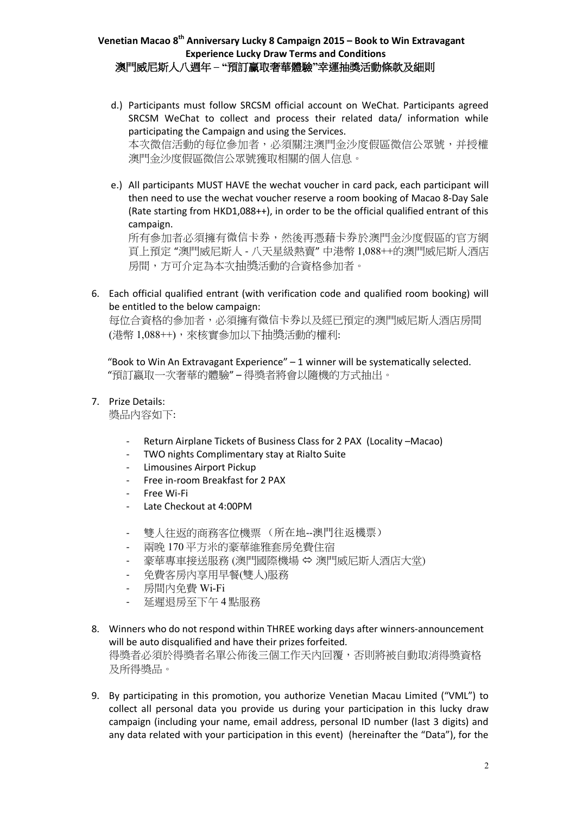- d.) Participants must follow SRCSM official account on WeChat. Participants agreed SRCSM WeChat to collect and process their related data/ information while participating the Campaign and using the Services. 本次微信活動的每位參加者,必須關注澳門金沙度假區微信公眾號,并授權 澳門金沙度假區微信公眾號獲取相關的個人信息。
- e.) All participants MUST HAVE the wechat voucher in card pack, each participant will then need to use the wechat voucher reserve a room booking of Macao 8-Day Sale (Rate starting from HKD1,088++), in order to be the official qualified entrant of this campaign.

所有參加者必須擁有微信卡券,然後再憑藉卡券於澳門金沙度假區的官方網 頁上預定 "澳門威尼斯人 - 八天星級熱賣" 中港幣 1,088++的澳門威尼斯人酒店 房間,方可介定為本次抽獎活動的合資格參加者。

6. Each official qualified entrant (with verification code and qualified room booking) will be entitled to the below campaign:

每位合資格的參加者,必須擁有微信卡券以及經已預定的澳門威尼斯人酒店房間 (港幣 1,088++),來核實參加以下抽獎活動的權利:

 "Book to Win An Extravagant Experience" – 1 winner will be systematically selected. "預訂嬴取一次奢華的體驗" – 得獎者將會以隨機的方式抽出。

7. Prize Details:

獎品內容如下:

- Return Airplane Tickets of Business Class for 2 PAX (Locality –Macao)
- TWO nights Complimentary stay at Rialto Suite
- Limousines Airport Pickup
- Free in-room Breakfast for 2 PAX
- Free Wi-Fi
- Late Checkout at 4:00PM
- 雙人往返的商務客位機票 (所在地--澳門往返機票)
- 兩晚 170 平方米的豪華維雅套房免費住宿
- 豪華專車接送服務 (澳門國際機場 ⇔ 澳門威尼斯人酒店大堂)
- 免費客房內享用早餐(雙人)服務
- 房間內免費 Wi-Fi
- 延遲退房至下午 4 點服務
- 8. Winners who do not respond within THREE working days after winners-announcement will be auto disqualified and have their prizes forfeited. 得獎者必須於得獎者名單公佈後三個工作天內回覆,否則將被自動取消得獎資格 及所得獎品。
- 9. By participating in this promotion, you authorize Venetian Macau Limited ("VML") to collect all personal data you provide us during your participation in this lucky draw campaign (including your name, email address, personal ID number (last 3 digits) and any data related with your participation in this event) (hereinafter the "Data"), for the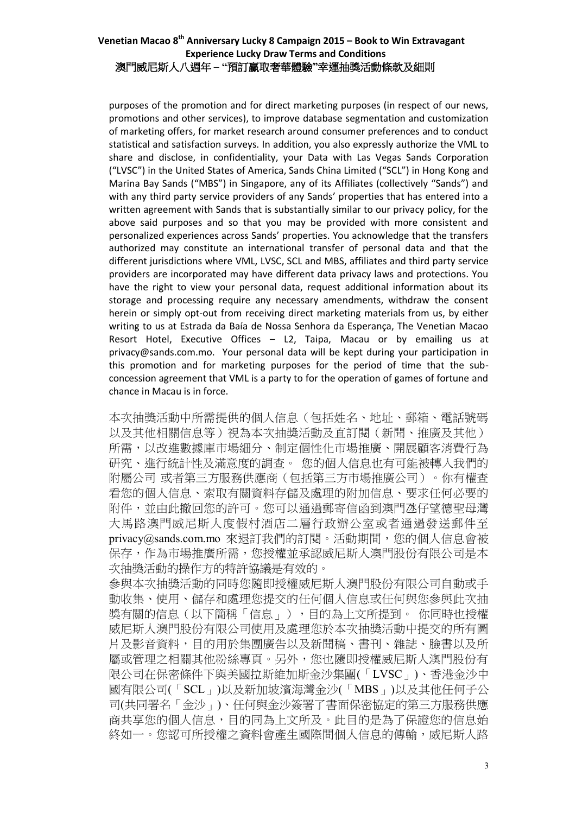purposes of the promotion and for direct marketing purposes (in respect of our news, promotions and other services), to improve database segmentation and customization of marketing offers, for market research around consumer preferences and to conduct statistical and satisfaction surveys. In addition, you also expressly authorize the VML to share and disclose, in confidentiality, your Data with Las Vegas Sands Corporation ("LVSC") in the United States of America, Sands China Limited ("SCL") in Hong Kong and Marina Bay Sands ("MBS") in Singapore, any of its Affiliates (collectively "Sands") and with any third party service providers of any Sands' properties that has entered into a written agreement with Sands that is substantially similar to our privacy policy, for the above said purposes and so that you may be provided with more consistent and personalized experiences across Sands' properties. You acknowledge that the transfers authorized may constitute an international transfer of personal data and that the different jurisdictions where VML, LVSC, SCL and MBS, affiliates and third party service providers are incorporated may have different data privacy laws and protections. You have the right to view your personal data, request additional information about its storage and processing require any necessary amendments, withdraw the consent herein or simply opt-out from receiving direct marketing materials from us, by either writing to us at Estrada da Baía de Nossa Senhora da Esperança, The Venetian Macao Resort Hotel, Executive Offices – L2, Taipa, Macau or by emailing us at privacy@sands.com.mo. Your personal data will be kept during your participation in this promotion and for marketing purposes for the period of time that the subconcession agreement that VML is a party to for the operation of games of fortune and chance in Macau is in force.

本次抽獎活動中所需提供的個人信息(包括姓名、地址、郵箱、電話號碼 以及其他相關信息等)視為本次抽獎活動及直訂閱(新聞、推廣及其他) 所需,以改進數據庫市場細分、制定個性化市場推廣、開展顧客消費行為 研究、進行統計性及滿意度的調查。 您的個人信息也有可能被轉入我們的 附屬公司 或者第三方服務供應商(包括第三方市場推廣公司)。你有權查 看您的個人信息、索取有關資料存儲及處理的附加信息、要求任何必要的 附件,並由此撤回您的許可。您可以通過郵寄信函到澳門氹仔望德聖母灣 大馬路澳門威尼斯人度假村酒店二層行政辦公室或者通過發送郵件至 privacy@sands.com.mo 來退訂我們的訂閱。活動期間,您的個人信息會被 保存,作為市場推廣所需,您授權並承認威尼斯人澳門股份有限公司是本 次抽獎活動的操作方的特許協議是有效的。

參與本次抽獎活動的同時您隨即授權威尼斯人澳門股份有限公司自動或手 動收集、使用、儲存和處理您提交的任何個人信息或任何與您參與此次抽 獎有關的信息(以下簡稱「信息」),目的為上文所提到。 你同時也授權 威尼斯人澳門股份有限公司使用及處理您於本次抽獎活動中提交的所有圖 片及影音資料,目的用於集團廣告以及新聞稿、書刊、雜誌、臉書以及所 屬或管理之相關其他粉絲專頁。另外,您也隨即授權威尼斯人澳門股份有 限公司在保密條件下與美國拉斯維加斯金沙集團(「LVSC」)、香港金沙中 國有限公司(「SCL」)以及新加坡濱海灣金沙(「MBS」)以及其他任何子公 司(共同署名「金沙」)、任何與金沙簽署了書面保密協定的第三方服務供應 商共享您的個人信息,目的同為上文所及。此目的是為了保證您的信息始 終如一。您認可所授權之資料會產生國際間個人信息的傳輸,威尼斯人路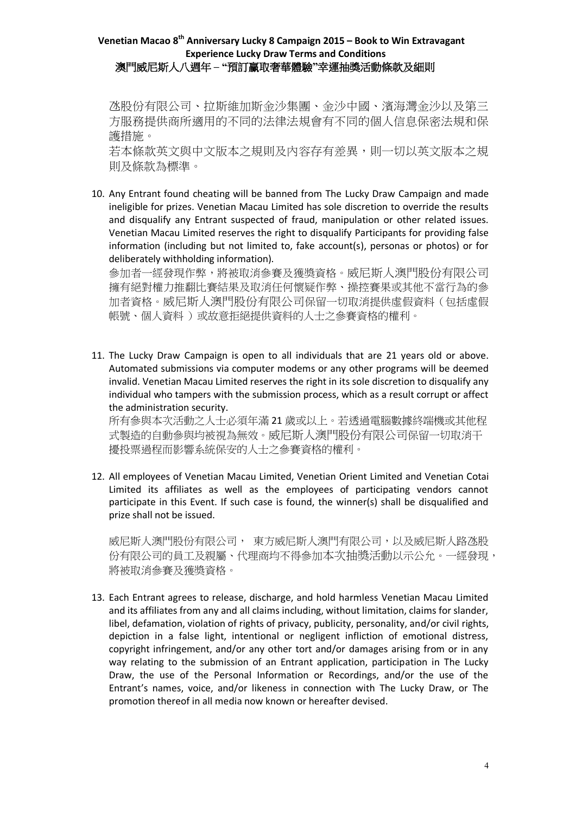氹股份有限公司、拉斯維加斯金沙集團、金沙中國、濱海灣金沙以及第三 方服務提供商所適用的不同的法律法規會有不同的個人信息保密法規和保 護措施。

若本條款英文與中文版本之規則及內容存有差異,則一切以英文版本之規 則及條款為標準。

10. Any Entrant found cheating will be banned from The Lucky Draw Campaign and made ineligible for prizes. Venetian Macau Limited has sole discretion to override the results and disqualify any Entrant suspected of fraud, manipulation or other related issues. Venetian Macau Limited reserves the right to disqualify Participants for providing false information (including but not limited to, fake account(s), personas or photos) or for deliberately withholding information).

參加者一經發現作弊,將被取消參賽及獲獎資格。威尼斯人澳門股份有限公司 擁有絕對權力推翻比賽結果及取消任何懷疑作弊、操控賽果或其他不當行為的參 加者資格。威尼斯人澳門股份有限公司保留一切取消提供虛假資料(包括虛假 帳號、個人資料 )或故意拒絕提供資料的人士之參賽資格的權利。

11. The Lucky Draw Campaign is open to all individuals that are 21 years old or above. Automated submissions via computer modems or any other programs will be deemed invalid. Venetian Macau Limited reserves the right in its sole discretion to disqualify any individual who tampers with the submission process, which as a result corrupt or affect the administration security.

所有參與本次活動之人士必須年滿 21 歲或以上。若透過電腦數據終端機或其他程 式製造的自動參與均被視為無效。威尼斯人澳門股份有限公司保留一切取消干 擾投票過程而影響系統保安的人士之參賽資格的權利。

12. All employees of Venetian Macau Limited, Venetian Orient Limited and Venetian Cotai Limited its affiliates as well as the employees of participating vendors cannot participate in this Event. If such case is found, the winner(s) shall be disqualified and prize shall not be issued.

威尼斯人澳門股份有限公司, 東方威尼斯人澳門有限公司, 以及威尼斯人路氹股 份有限公司的員工及親屬、代理商均不得參加本次抽獎活動以示公允。一經發現, 將被取消參賽及獲獎資格。

13. Each Entrant agrees to release, discharge, and hold harmless Venetian Macau Limited and its affiliates from any and all claims including, without limitation, claims for slander, libel, defamation, violation of rights of privacy, publicity, personality, and/or civil rights, depiction in a false light, intentional or negligent infliction of emotional distress, copyright infringement, and/or any other tort and/or damages arising from or in any way relating to the submission of an Entrant application, participation in The Lucky Draw, the use of the Personal Information or Recordings, and/or the use of the Entrant's names, voice, and/or likeness in connection with The Lucky Draw, or The promotion thereof in all media now known or hereafter devised.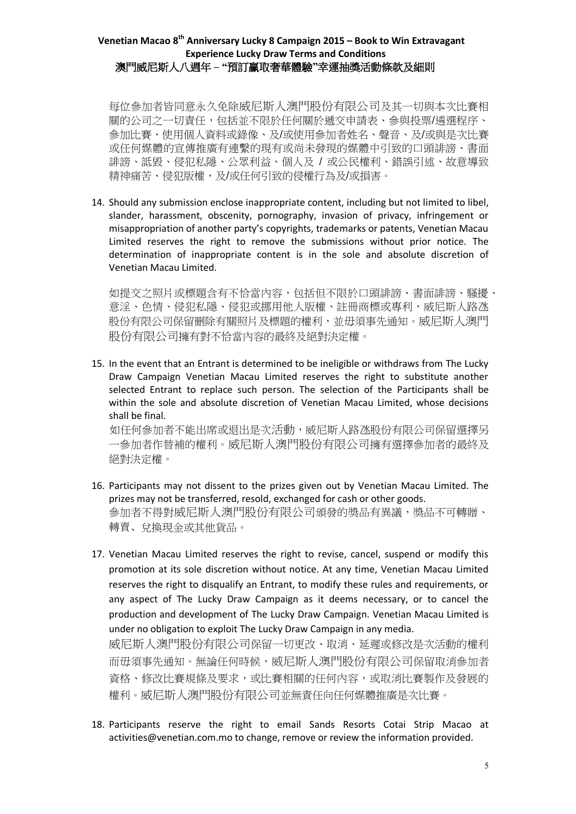每位參加者皆同意永久免除威尼斯人澳門股份有限公司及其一切與本次比賽相 關的公司之一切責任,包括並不限於任何關於遞交申請表、參與投票/遴選程序、 參加比賽、使用個人資料或錄像、及/或使用參加者姓名、聲音、及/或與是次比賽 或任何媒體的宣傳推廣有連繫的現有或尚未發現的媒體中引致的口頭誹謗、書面 誹謗、詆毀、侵犯私隱、公眾利益、個人及 / 或公民權利、錯誤引述、故意導致 精神痛苦、侵犯版權,及/或任何引致的侵權行為及/或損害。

14. Should any submission enclose inappropriate content, including but not limited to libel, slander, harassment, obscenity, pornography, invasion of privacy, infringement or misappropriation of another party's copyrights, trademarks or patents, Venetian Macau Limited reserves the right to remove the submissions without prior notice. The determination of inappropriate content is in the sole and absolute discretion of Venetian Macau Limited.

如提交之照片或標題含有不恰當內容,包括但不限於口頭誹謗、書面誹謗、騷擾、 意淫、色情、侵犯私隱、侵犯或挪用他人版權、註冊商標或專利,威尼斯人路氹 股份有限公司保留刪除有關照片及標題的權利,並毋須事先通知。威尼斯人澳門 股份有限公司擁有對不恰當內容的最終及絕對決定權。

15. In the event that an Entrant is determined to be ineligible or withdraws from The Lucky Draw Campaign Venetian Macau Limited reserves the right to substitute another selected Entrant to replace such person. The selection of the Participants shall be within the sole and absolute discretion of Venetian Macau Limited, whose decisions shall be final.

 如任何參加者不能出席或退出是次活動,威尼斯人路氹股份有限公司保留選擇另 一參加者作替補的權利。威尼斯人澳門股份有限公司擁有選擇參加者的最終及 絕對決定權。

- 16. Participants may not dissent to the prizes given out by Venetian Macau Limited. The prizes may not be transferred, resold, exchanged for cash or other goods. 參加者不得對威尼斯人澳門股份有限公司頒發的獎品有異議,獎品不可轉贈、 轉賣、兌換現金或其他貨品。
- 17. Venetian Macau Limited reserves the right to revise, cancel, suspend or modify this promotion at its sole discretion without notice. At any time, Venetian Macau Limited reserves the right to disqualify an Entrant, to modify these rules and requirements, or any aspect of The Lucky Draw Campaign as it deems necessary, or to cancel the production and development of The Lucky Draw Campaign. Venetian Macau Limited is under no obligation to exploit The Lucky Draw Campaign in any media.

威尼斯人澳門股份有限公司保留一切更改、取消、延遲或修改是次活動的權利 而毌須事先通知。無論任何時候,威尼斯人澳門股份有限公司保留取消參加者 資格、修改比賽規條及要求,或比賽相關的任何內容,或取消比賽製作及發展的 權利。威尼斯人澳門股份有限公司並無責任向任何媒體推廣是次比賽。

18. Participants reserve the right to email Sands Resorts Cotai Strip Macao at activities@venetian.com.mo to change, remove or review the information provided.